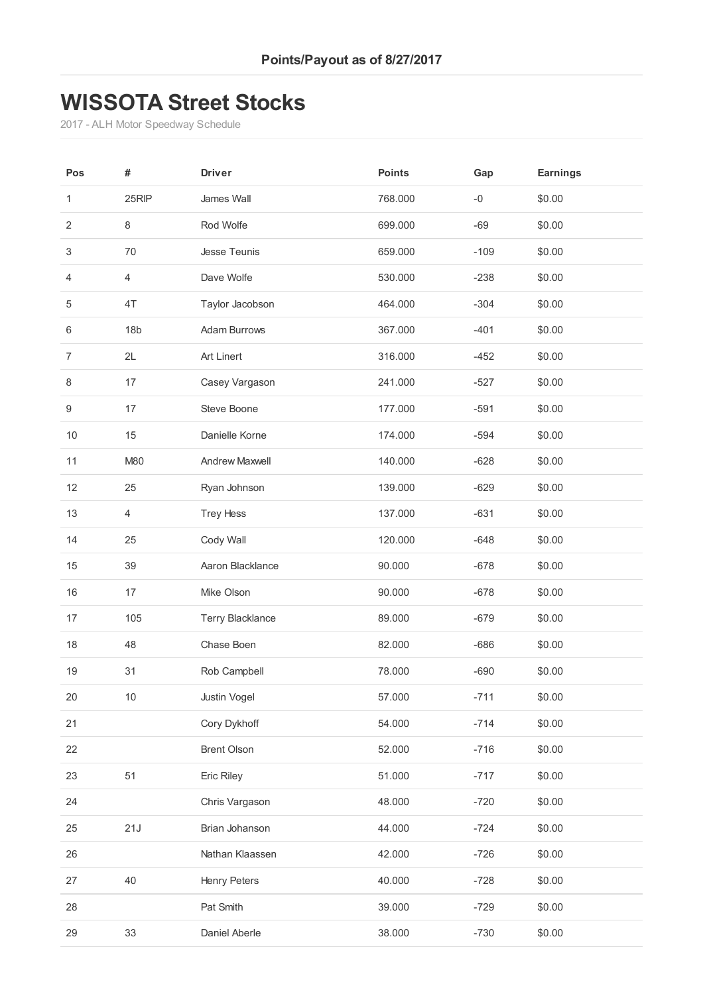### **WISSOTA Street Stocks**

- ALH Motor Speedway Schedule

| Pos            | #               | <b>Driver</b>           | <b>Points</b> | Gap    | <b>Earnings</b> |
|----------------|-----------------|-------------------------|---------------|--------|-----------------|
| 1              | 25RIP           | James Wall              | 768.000       | $-0$   | \$0.00          |
| $\overline{2}$ | 8               | Rod Wolfe               | 699.000       | $-69$  | \$0.00          |
| 3              | 70              | Jesse Teunis            | 659.000       | $-109$ | \$0.00          |
| 4              | 4               | Dave Wolfe              | 530.000       | $-238$ | \$0.00          |
| $\,$ 5 $\,$    | 4T              | Taylor Jacobson         | 464.000       | $-304$ | \$0.00          |
| 6              | 18 <sub>b</sub> | <b>Adam Burrows</b>     | 367.000       | $-401$ | \$0.00          |
| $\overline{7}$ | 2L              | Art Linert              | 316.000       | $-452$ | \$0.00          |
| 8              | 17              | Casey Vargason          | 241.000       | $-527$ | \$0.00          |
| 9              | 17              | Steve Boone             | 177.000       | $-591$ | \$0.00          |
| $10$           | 15              | Danielle Korne          | 174.000       | $-594$ | \$0.00          |
| 11             | M80             | <b>Andrew Maxwell</b>   | 140.000       | $-628$ | \$0.00          |
| 12             | 25              | Ryan Johnson            | 139.000       | $-629$ | \$0.00          |
| 13             | 4               | <b>Trey Hess</b>        | 137.000       | $-631$ | \$0.00          |
| 14             | 25              | Cody Wall               | 120.000       | $-648$ | \$0.00          |
| 15             | 39              | Aaron Blacklance        | 90.000        | $-678$ | \$0.00          |
| 16             | 17              | Mike Olson              | 90.000        | $-678$ | \$0.00          |
| 17             | 105             | <b>Terry Blacklance</b> | 89.000        | $-679$ | \$0.00          |
| 18             | 48              | Chase Boen              | 82.000        | $-686$ | \$0.00          |
| 19             | 31              | Rob Campbell            | 78.000        | $-690$ | \$0.00          |
| 20             | 10              | Justin Vogel            | 57.000        | $-711$ | \$0.00          |
| 21             |                 | Cory Dykhoff            | 54.000        | $-714$ | \$0.00          |
| 22             |                 | <b>Brent Olson</b>      | 52.000        | $-716$ | \$0.00          |
| 23             | 51              | Eric Riley              | 51.000        | $-717$ | \$0.00          |
| 24             |                 | Chris Vargason          | 48.000        | $-720$ | \$0.00          |
| 25             | 21J             | Brian Johanson          | 44.000        | $-724$ | \$0.00          |
| 26             |                 | Nathan Klaassen         | 42.000        | $-726$ | \$0.00          |
| 27             | 40              | <b>Henry Peters</b>     | 40.000        | $-728$ | \$0.00          |
| 28             |                 | Pat Smith               | 39.000        | $-729$ | \$0.00          |
| 29             | 33              | Daniel Aberle           | 38.000        | $-730$ | \$0.00          |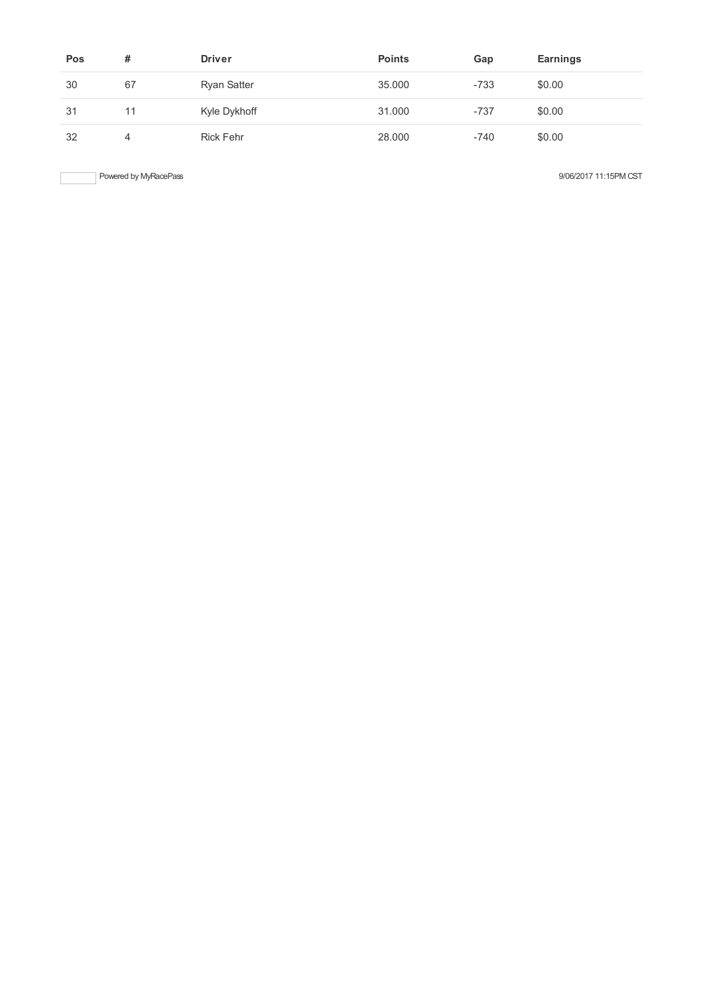| Pos | #  | <b>Driver</b>      | <b>Points</b> | Gap    | <b>Earnings</b> |
|-----|----|--------------------|---------------|--------|-----------------|
| 30  | 67 | <b>Ryan Satter</b> | 35,000        | $-733$ | \$0.00          |
| 31  | 11 | Kyle Dykhoff       | 31.000        | $-737$ | \$0.00          |
| 32  | 4  | <b>Rick Fehr</b>   | 28,000        | $-740$ | \$0.00          |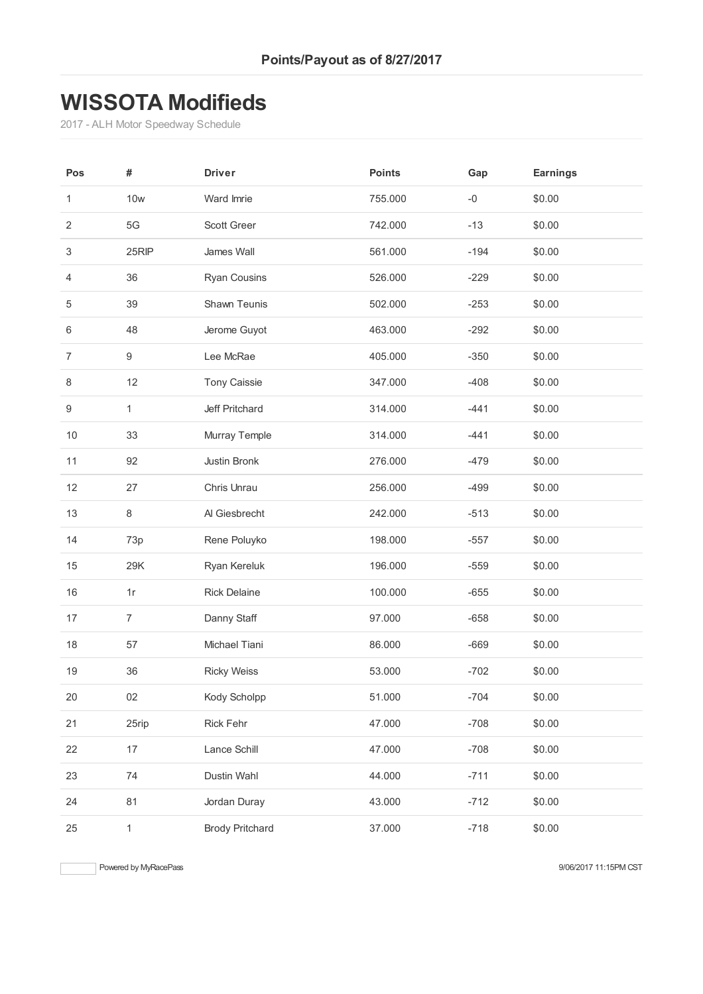## **WISSOTA Modifieds**

- ALH Motor Speedway Schedule

| Pos              | #                | <b>Driver</b>          | <b>Points</b> | Gap    | <b>Earnings</b> |
|------------------|------------------|------------------------|---------------|--------|-----------------|
| 1                | <b>10w</b>       | Ward Imrie             | 755.000       | $-0$   | \$0.00          |
| $\overline{2}$   | $5\mathrm{G}$    | Scott Greer            | 742.000       | $-13$  | \$0.00          |
| 3                | 25RIP            | James Wall             | 561.000       | $-194$ | \$0.00          |
| 4                | 36               | <b>Ryan Cousins</b>    | 526.000       | $-229$ | \$0.00          |
| $\,$ 5 $\,$      | 39               | Shawn Teunis           | 502.000       | $-253$ | \$0.00          |
| 6                | 48               | Jerome Guyot           | 463.000       | $-292$ | \$0.00          |
| $\overline{7}$   | $\boldsymbol{9}$ | Lee McRae              | 405.000       | $-350$ | \$0.00          |
| 8                | 12               | <b>Tony Caissie</b>    | 347.000       | $-408$ | \$0.00          |
| $\boldsymbol{9}$ | $\mathbf{1}$     | Jeff Pritchard         | 314.000       | $-441$ | \$0.00          |
| $10$             | 33               | Murray Temple          | 314.000       | $-441$ | \$0.00          |
| 11               | 92               | Justin Bronk           | 276.000       | $-479$ | \$0.00          |
| 12               | 27               | Chris Unrau            | 256.000       | $-499$ | \$0.00          |
| 13               | $\,8\,$          | Al Giesbrecht          | 242.000       | $-513$ | \$0.00          |
| 14               | 73p              | Rene Poluyko           | 198.000       | $-557$ | \$0.00          |
| 15               | 29K              | Ryan Kereluk           | 196.000       | $-559$ | \$0.00          |
| 16               | 1r               | <b>Rick Delaine</b>    | 100.000       | $-655$ | \$0.00          |
| 17               | $\overline{7}$   | Danny Staff            | 97.000        | $-658$ | \$0.00          |
| 18               | 57               | Michael Tiani          | 86.000        | $-669$ | \$0.00          |
| 19               | 36               | <b>Ricky Weiss</b>     | 53.000        | $-702$ | \$0.00          |
| $20\,$           | 02               | Kody Scholpp           | 51.000        | $-704$ | \$0.00          |
| 21               | 25rip            | Rick Fehr              | 47.000        | $-708$ | \$0.00          |
| 22               | 17               | Lance Schill           | 47.000        | $-708$ | \$0.00          |
| 23               | 74               | Dustin Wahl            | 44.000        | $-711$ | \$0.00          |
| 24               | 81               | Jordan Duray           | 43.000        | $-712$ | \$0.00          |
| 25               | $\mathbf{1}$     | <b>Brody Pritchard</b> | 37.000        | $-718$ | \$0.00          |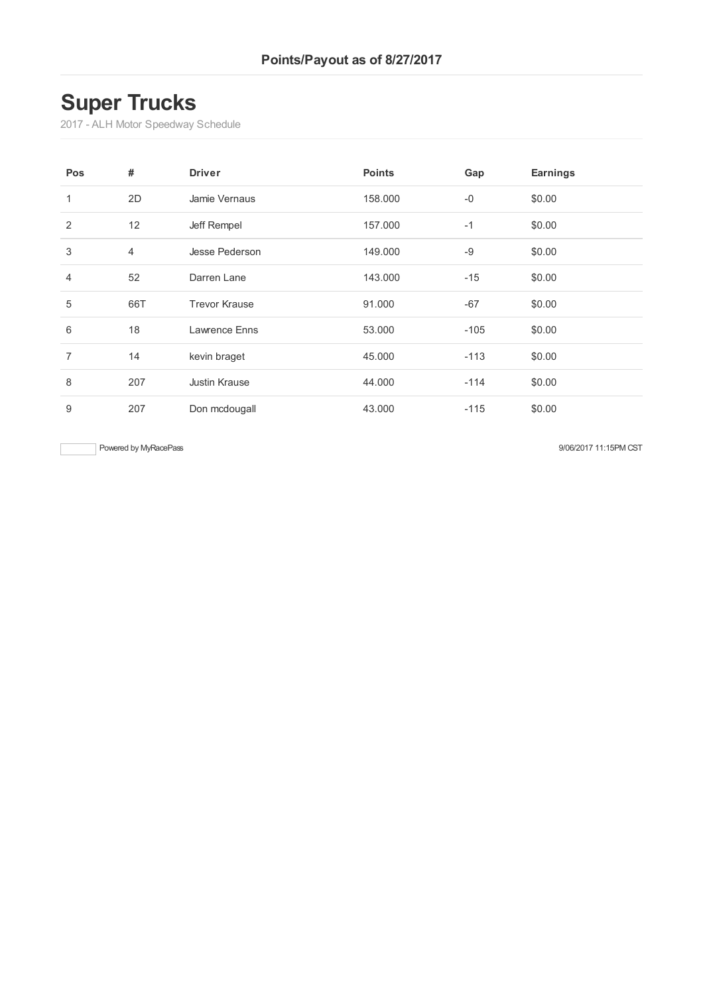# **Super Trucks**

- ALH Motor Speedway Schedule

| Pos            | #              | <b>Driver</b>        | <b>Points</b> | Gap    | <b>Earnings</b> |
|----------------|----------------|----------------------|---------------|--------|-----------------|
| $\mathbf{1}$   | 2D             | Jamie Vernaus        | 158.000       | $-0$   | \$0.00          |
| 2              | 12             | Jeff Rempel          | 157,000       | $-1$   | \$0.00          |
| 3              | $\overline{4}$ | Jesse Pederson       | 149.000       | $-9$   | \$0.00          |
| $\overline{4}$ | 52             | Darren Lane          | 143.000       | $-15$  | \$0.00          |
| 5              | 66T            | <b>Trevor Krause</b> | 91.000        | $-67$  | \$0.00          |
| 6              | 18             | Lawrence Enns        | 53.000        | $-105$ | \$0.00          |
| $\overline{7}$ | 14             | kevin braget         | 45.000        | $-113$ | \$0.00          |
| 8              | 207            | <b>Justin Krause</b> | 44.000        | $-114$ | \$0.00          |
| 9              | 207            | Don mcdougall        | 43.000        | $-115$ | \$0.00          |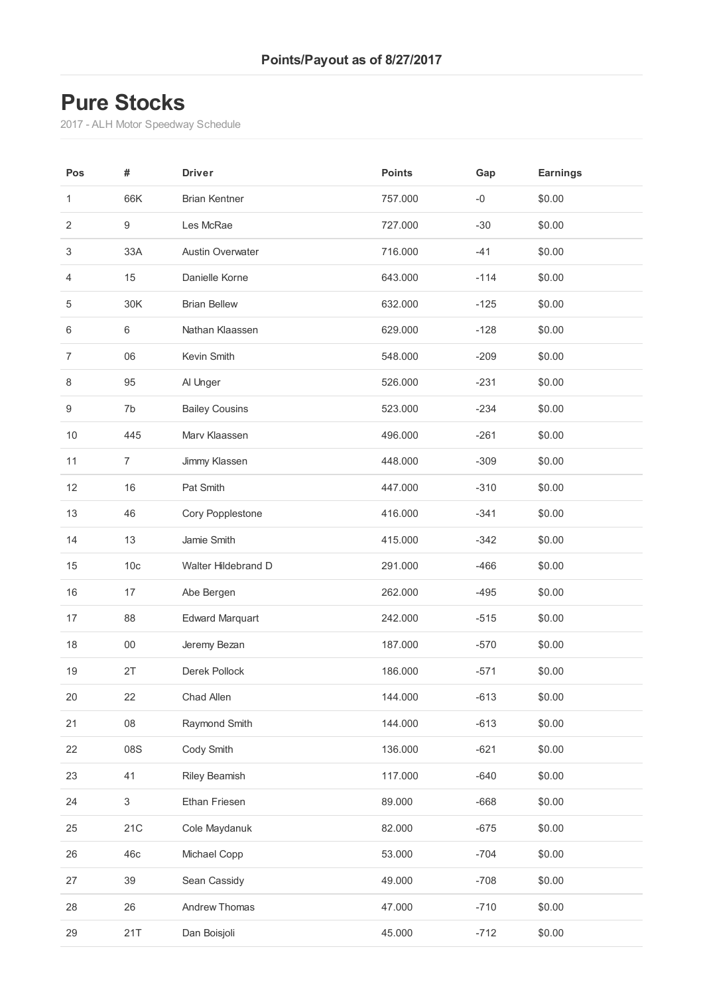## **Pure Stocks**

- ALH Motor Speedway Schedule

| Pos              | #                         | <b>Driver</b>           | <b>Points</b> | Gap    | <b>Earnings</b> |
|------------------|---------------------------|-------------------------|---------------|--------|-----------------|
| 1                | 66K                       | <b>Brian Kentner</b>    | 757.000       | $-0$   | \$0.00          |
| $\overline{2}$   | $\boldsymbol{9}$          | Les McRae               | 727.000       | $-30$  | \$0.00          |
| 3                | 33A                       | <b>Austin Overwater</b> | 716.000       | $-41$  | \$0.00          |
| $\overline{4}$   | 15                        | Danielle Korne          | 643.000       | $-114$ | \$0.00          |
| 5                | 30K                       | <b>Brian Bellew</b>     | 632.000       | $-125$ | \$0.00          |
| 6                | $\,6$                     | Nathan Klaassen         | 629.000       | $-128$ | \$0.00          |
| $\overline{7}$   | 06                        | Kevin Smith             | 548.000       | $-209$ | \$0.00          |
| 8                | 95                        | Al Unger                | 526.000       | $-231$ | \$0.00          |
| $\boldsymbol{9}$ | 7b                        | <b>Bailey Cousins</b>   | 523.000       | $-234$ | \$0.00          |
| 10               | 445                       | Marv Klaassen           | 496.000       | $-261$ | \$0.00          |
| 11               | $\overline{7}$            | Jimmy Klassen           | 448.000       | $-309$ | \$0.00          |
| 12               | 16                        | Pat Smith               | 447.000       | $-310$ | \$0.00          |
| 13               | 46                        | Cory Popplestone        | 416.000       | $-341$ | \$0.00          |
| 14               | 13                        | Jamie Smith             | 415.000       | $-342$ | \$0.00          |
| 15               | 10 <sub>c</sub>           | Walter Hildebrand D     | 291.000       | $-466$ | \$0.00          |
| 16               | 17                        | Abe Bergen              | 262.000       | $-495$ | \$0.00          |
| 17               | 88                        | <b>Edward Marquart</b>  | 242.000       | $-515$ | \$0.00          |
| 18               | $00\,$                    | Jeremy Bezan            | 187.000       | $-570$ | \$0.00          |
| 19               | 2T                        | Derek Pollock           | 186.000       | $-571$ | \$0.00          |
| 20               | 22                        | Chad Allen              | 144.000       | $-613$ | \$0.00          |
| 21               | ${\bf 08}$                | Raymond Smith           | 144.000       | $-613$ | \$0.00          |
| 22               | 08S                       | Cody Smith              | 136.000       | $-621$ | \$0.00          |
| 23               | 41                        | Riley Beamish           | 117.000       | $-640$ | \$0.00          |
| 24               | $\ensuremath{\mathsf{3}}$ | Ethan Friesen           | 89.000        | $-668$ | \$0.00          |
| 25               | 21C                       | Cole Maydanuk           | 82.000        | $-675$ | \$0.00          |
| 26               | 46c                       | Michael Copp            | 53.000        | $-704$ | \$0.00          |
| 27               | 39                        | Sean Cassidy            | 49.000        | $-708$ | \$0.00          |
| 28               | 26                        | Andrew Thomas           | 47.000        | $-710$ | \$0.00          |
| 29               | 21T                       | Dan Boisjoli            | 45.000        | $-712$ | \$0.00          |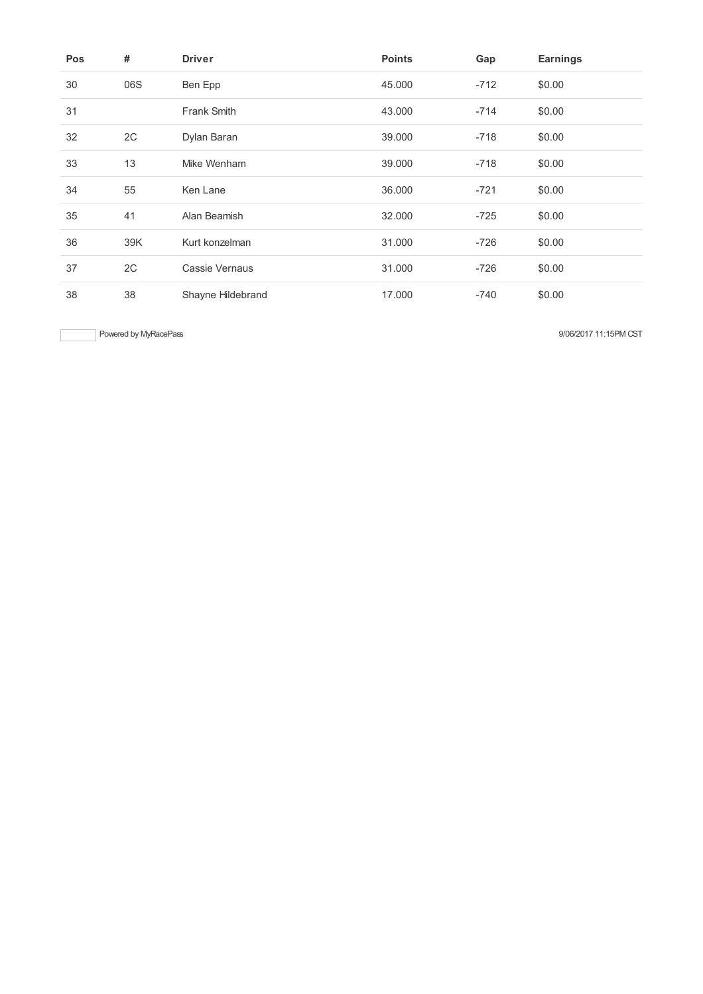| <b>Pos</b> | #   | <b>Driver</b>      | <b>Points</b> | Gap    | <b>Earnings</b> |
|------------|-----|--------------------|---------------|--------|-----------------|
| 30         | 06S | Ben Epp            | 45.000        | $-712$ | \$0.00          |
| 31         |     | <b>Frank Smith</b> | 43.000        | $-714$ | \$0.00          |
| 32         | 2C  | Dylan Baran        | 39.000        | $-718$ | \$0.00          |
| 33         | 13  | Mike Wenham        | 39,000        | $-718$ | \$0.00          |
| 34         | 55  | Ken Lane           | 36.000        | $-721$ | \$0.00          |
| 35         | 41  | Alan Beamish       | 32.000        | $-725$ | \$0.00          |
| 36         | 39K | Kurt konzelman     | 31.000        | $-726$ | \$0.00          |
| 37         | 2C  | Cassie Vernaus     | 31.000        | $-726$ | \$0.00          |
| 38         | 38  | Shayne Hildebrand  | 17.000        | $-740$ | \$0.00          |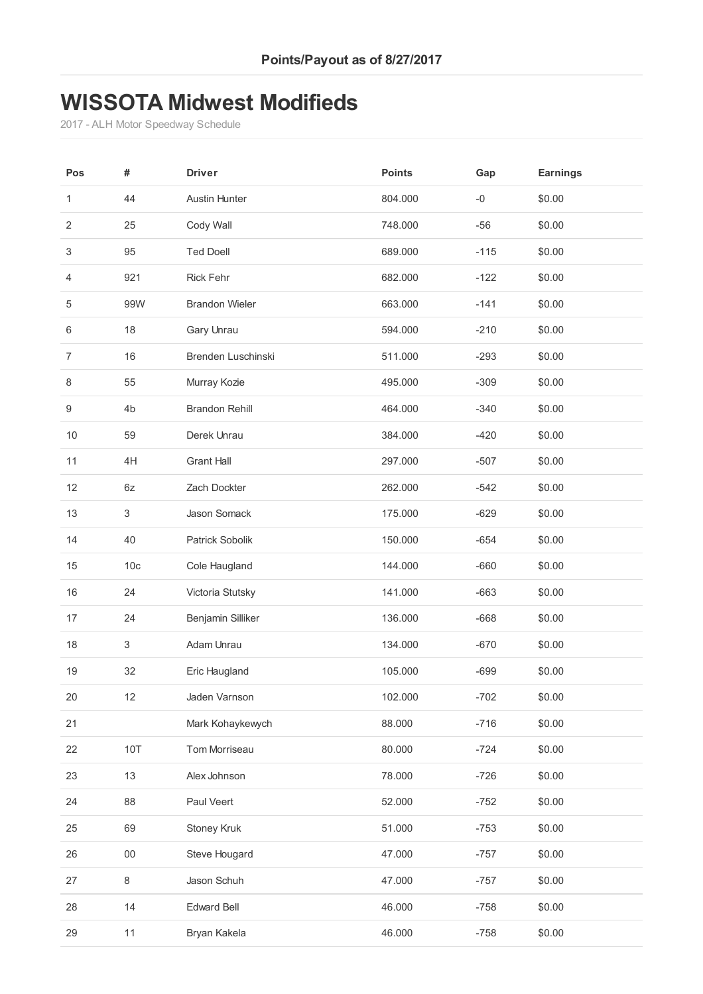#### **WISSOTA Midwest Modifieds**

- ALH Motor Speedway Schedule

| Pos              | #                         | <b>Driver</b>         | <b>Points</b> | Gap    | <b>Earnings</b> |
|------------------|---------------------------|-----------------------|---------------|--------|-----------------|
| 1                | 44                        | <b>Austin Hunter</b>  | 804.000       | $-0$   | \$0.00          |
| $\overline{2}$   | 25                        | Cody Wall             | 748.000       | $-56$  | \$0.00          |
| 3                | 95                        | <b>Ted Doell</b>      | 689.000       | $-115$ | \$0.00          |
| $\overline{4}$   | 921                       | <b>Rick Fehr</b>      | 682.000       | $-122$ | \$0.00          |
| $\,$ 5 $\,$      | 99W                       | <b>Brandon Wieler</b> | 663.000       | $-141$ | \$0.00          |
| 6                | 18                        | Gary Unrau            | 594.000       | $-210$ | \$0.00          |
| $\overline{7}$   | 16                        | Brenden Luschinski    | 511.000       | $-293$ | \$0.00          |
| 8                | 55                        | Murray Kozie          | 495.000       | $-309$ | \$0.00          |
| $\boldsymbol{9}$ | 4 <sub>b</sub>            | <b>Brandon Rehill</b> | 464.000       | $-340$ | \$0.00          |
| 10               | 59                        | Derek Unrau           | 384.000       | $-420$ | \$0.00          |
| 11               | 4H                        | <b>Grant Hall</b>     | 297.000       | $-507$ | \$0.00          |
| 12               | $6z$                      | Zach Dockter          | 262.000       | $-542$ | \$0.00          |
| 13               | $\ensuremath{\mathsf{3}}$ | Jason Somack          | 175.000       | $-629$ | \$0.00          |
| 14               | 40                        | Patrick Sobolik       | 150.000       | $-654$ | \$0.00          |
| 15               | 10 <sub>c</sub>           | Cole Haugland         | 144.000       | $-660$ | \$0.00          |
| 16               | 24                        | Victoria Stutsky      | 141.000       | $-663$ | \$0.00          |
| 17               | 24                        | Benjamin Silliker     | 136.000       | $-668$ | \$0.00          |
| 18               | $\ensuremath{\mathsf{3}}$ | Adam Unrau            | 134.000       | $-670$ | \$0.00          |
| 19               | 32                        | Eric Haugland         | 105.000       | $-699$ | \$0.00          |
| 20               | 12                        | Jaden Varnson         | 102.000       | $-702$ | \$0.00          |
| 21               |                           | Mark Kohaykewych      | 88.000        | $-716$ | \$0.00          |
| 22               | <b>10T</b>                | Tom Morriseau         | 80.000        | $-724$ | \$0.00          |
| 23               | 13                        | Alex Johnson          | 78.000        | $-726$ | \$0.00          |
| 24               | 88                        | Paul Veert            | 52.000        | $-752$ | \$0.00          |
| 25               | 69                        | Stoney Kruk           | 51.000        | $-753$ | \$0.00          |
| 26               | $00\,$                    | Steve Hougard         | 47.000        | $-757$ | \$0.00          |
| 27               | $\,8\,$                   | Jason Schuh           | 47.000        | $-757$ | \$0.00          |
| 28               | 14                        | <b>Edward Bell</b>    | 46.000        | $-758$ | \$0.00          |
| 29               | 11                        | Bryan Kakela          | 46.000        | $-758$ | \$0.00          |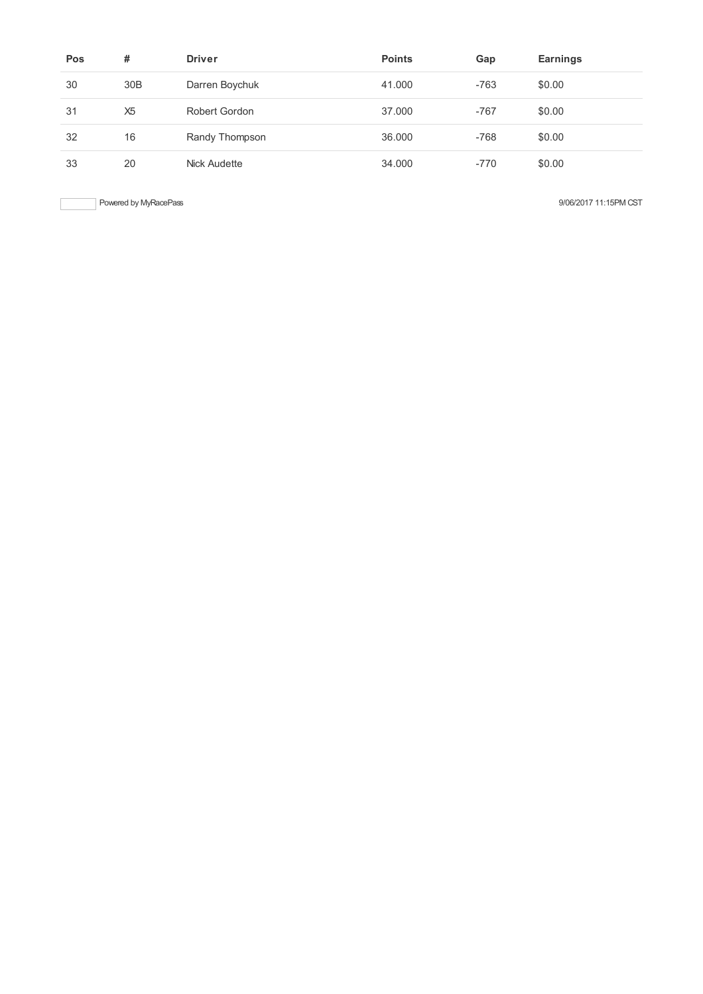| Pos | #               | <b>Driver</b>  | <b>Points</b> | Gap    | Earnings |
|-----|-----------------|----------------|---------------|--------|----------|
| 30  | 30 <sub>B</sub> | Darren Boychuk | 41.000        | $-763$ | \$0.00   |
| 31  | X <sub>5</sub>  | Robert Gordon  | 37,000        | $-767$ | \$0.00   |
| 32  | 16              | Randy Thompson | 36,000        | $-768$ | \$0.00   |
| 33  | 20              | Nick Audette   | 34.000        | $-770$ | \$0.00   |

Powered by MyRacePass 3006/2017 11:15PM CST

 $\begin{array}{c} \hline \end{array}$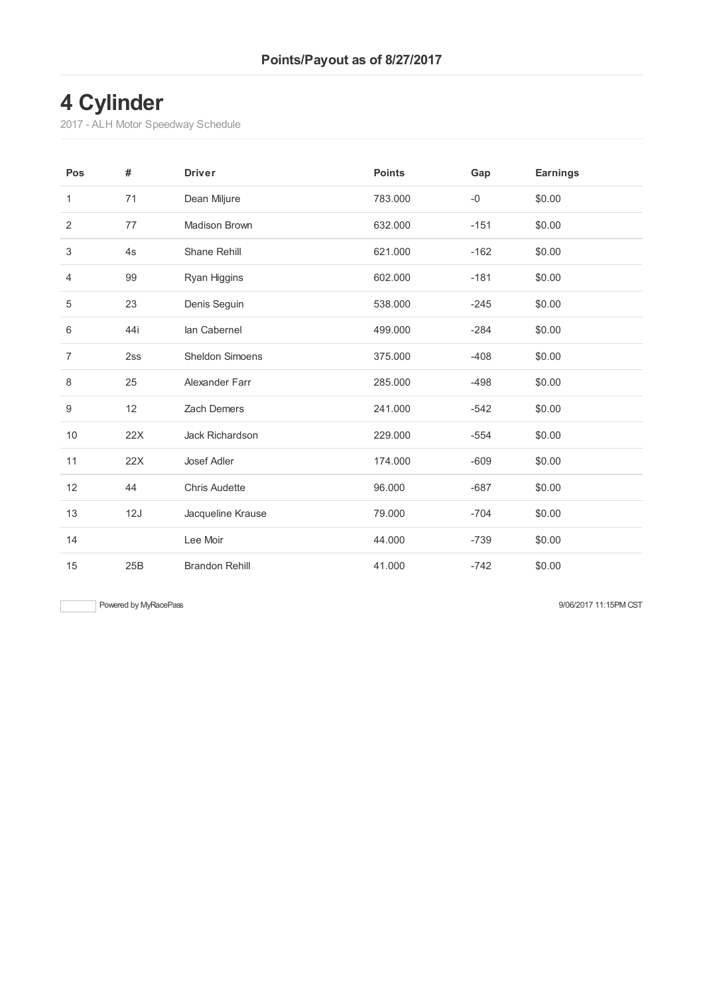# **Cylinder**

- ALH Motor Speedway Schedule

| Pos            | #   | <b>Driver</b>          | <b>Points</b> | Gap    | <b>Earnings</b> |
|----------------|-----|------------------------|---------------|--------|-----------------|
| $\mathbf{1}$   | 71  | Dean Miljure           | 783.000       | $-0$   | \$0.00          |
| $\overline{2}$ | 77  | Madison Brown          | 632.000       | $-151$ | \$0.00          |
| 3              | 4s  | Shane Rehill           | 621.000       | $-162$ | \$0.00          |
| 4              | 99  | Ryan Higgins           | 602.000       | $-181$ | \$0.00          |
| 5              | 23  | Denis Seguin           | 538.000       | $-245$ | \$0.00          |
| 6              | 44i | lan Cabernel           | 499.000       | $-284$ | \$0.00          |
| $\overline{7}$ | 2ss | <b>Sheldon Simoens</b> | 375.000       | $-408$ | \$0.00          |
| 8              | 25  | Alexander Farr         | 285.000       | $-498$ | \$0.00          |
| $9\,$          | 12  | Zach Demers            | 241.000       | $-542$ | \$0.00          |
| 10             | 22X | Jack Richardson        | 229.000       | $-554$ | \$0.00          |
| 11             | 22X | Josef Adler            | 174.000       | $-609$ | \$0.00          |
| 12             | 44  | <b>Chris Audette</b>   | 96.000        | $-687$ | \$0.00          |
| 13             | 12J | Jacqueline Krause      | 79.000        | $-704$ | \$0.00          |
| 14             |     | Lee Moir               | 44.000        | $-739$ | \$0.00          |
| 15             | 25B | <b>Brandon Rehill</b>  | 41.000        | $-742$ | \$0.00          |